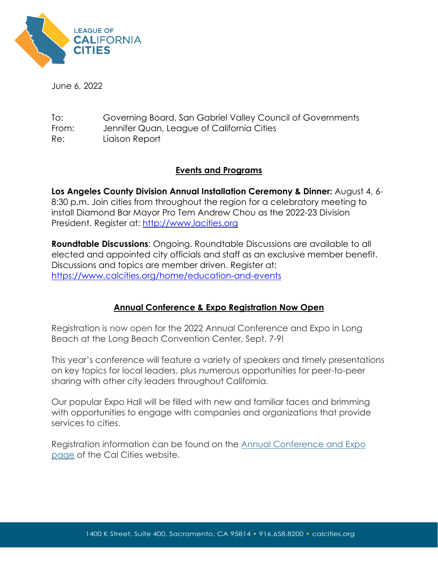

June 6, 2022

To: Governing Board, San Gabriel Valley Council of Governments From: Jennifer Quan, League of California Cities Re: Liaison Report

## **Events and Programs**

**Los Angeles County Division Annual Installation Ceremony & Dinner:** August 4, 6- 8:30 p.m. Join cities from throughout the region for a celebratory meeting to install Diamond Bar Mayor Pro Tem Andrew Chou as the 2022-23 Division President. Register at: [http://www.lacities.org](http://www.lacities.org/)

**Roundtable Discussions**: Ongoing. Roundtable Discussions are available to all elected and appointed city officials and staff as an exclusive member benefit. Discussions and topics are member driven. Register at: <https://www.calcities.org/home/education-and-events>

## **Annual Conference & Expo Registration Now Open**

Registration is now open for the 2022 Annual Conference and Expo in Long Beach at the Long Beach Convention Center, Sept. 7-9!

This year's conference will feature a variety of speakers and timely presentations on key topics for local leaders, plus numerous opportunities for peer-to-peer sharing with other city leaders throughout California.

Our popular Expo Hall will be filled with new and familiar faces and brimming with opportunities to engage with companies and organizations that provide services to cities.

Registration information can be found on the [Annual Conference and Expo](https://r20.rs6.net/tn.jsp?f=001YwmtuQf3X489uzCzSgGY2qh3gZ6rqGFeDzzkwtEZyXO6RNTUx9o4fXYhrb3KTXcoPdU3uMmGsin-FaKrOTAqT35iWWD105-SDdSrdZjpMZrFqI1h26OALiUgSBq_8srSbA27iJRCjCvfkCw1anXUlA==&c=RVM3brqecelM8j_uqSqXjHahmDrVdeQ26r8LayrU_bg_Yn7FRwP5Lw==&ch=AM2dlMETL5IecUuGr_Ud6UekmqWUdLcQi4zRyrM8QMZvUtDa7jIz2Q==)  [page](https://r20.rs6.net/tn.jsp?f=001YwmtuQf3X489uzCzSgGY2qh3gZ6rqGFeDzzkwtEZyXO6RNTUx9o4fXYhrb3KTXcoPdU3uMmGsin-FaKrOTAqT35iWWD105-SDdSrdZjpMZrFqI1h26OALiUgSBq_8srSbA27iJRCjCvfkCw1anXUlA==&c=RVM3brqecelM8j_uqSqXjHahmDrVdeQ26r8LayrU_bg_Yn7FRwP5Lw==&ch=AM2dlMETL5IecUuGr_Ud6UekmqWUdLcQi4zRyrM8QMZvUtDa7jIz2Q==) of the Cal Cities website.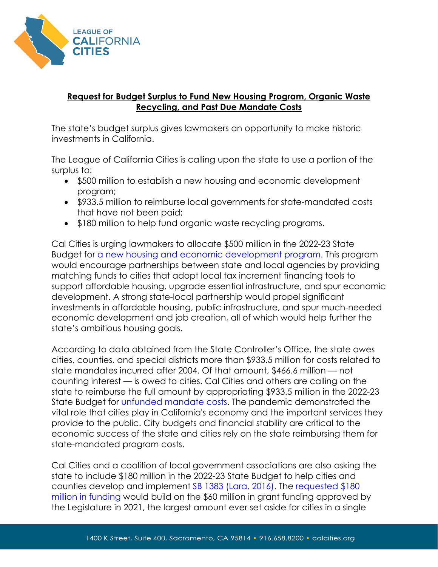

## **Request for Budget Surplus to Fund New Housing Program, Organic Waste Recycling, and Past Due Mandate Costs**

The state's budget surplus gives lawmakers an opportunity to make historic investments in California.

The League of California Cities is calling upon the state to use a portion of the surplus to:

- \$500 million to establish a new housing and economic development program;
- \$933.5 million to reimburse local governments for state-mandated costs that have not been paid;
- \$180 million to help fund organic waste recycling programs.

Cal Cities is urging lawmakers to allocate \$500 million in the 2022-23 State Budget for [a new housing and economic development program.](https://www.calcities.org/docs/default-source/advocacy/budget-letter/hedp-budget-request-and-program-overview_legislature.pdf?sfvrsn=ea1fd43b_3) This program would encourage partnerships between state and local agencies by providing matching funds to cities that adopt local tax increment financing tools to support affordable housing, upgrade essential infrastructure, and spur economic development. A strong state-local partnership would propel significant investments in affordable housing, public infrastructure, and spur much-needed economic development and job creation, all of which would help further the state's ambitious housing goals.

According to data obtained from the State Controller's Office, the state owes cities, counties, and special districts more than \$933.5 million for costs related to state mandates incurred after 2004. Of that amount, \$466.6 million — not counting interest — is owed to cities. Cal Cities and others are calling on the state to reimburse the full amount by appropriating \$933.5 million in the 2022-23 State Budget for [unfunded mandate costs.](https://www.calcities.org/docs/default-source/advocacy/cal-cities.-budget-request.-state-mandate-reimbursement.pdf?sfvrsn=452c2603_3) The pandemic demonstrated the vital role that cities play in California's economy and the important services they provide to the public. City budgets and financial stability are critical to the economic success of the state and cities rely on the state reimbursing them for state-mandated program costs.

Cal Cities and a coalition of local government associations are also asking the state to include \$180 million in the 2022-23 State Budget to help cities and counties develop and implement [SB 1383 \(Lara, 2016\).](https://www.calrecycle.ca.gov/organics/slcp) The [requested \\$180](https://www.calcities.org/docs/default-source/advocacy/budget-letter/2022-coalition-organic-waste-development-and-implementation-budget-request-3.15.22.pdf?sfvrsn=7a65f0c6_3)  [million in funding](https://www.calcities.org/docs/default-source/advocacy/budget-letter/2022-coalition-organic-waste-development-and-implementation-budget-request-3.15.22.pdf?sfvrsn=7a65f0c6_3) would build on the \$60 million in grant funding approved by the Legislature in 2021, the largest amount ever set aside for cities in a single